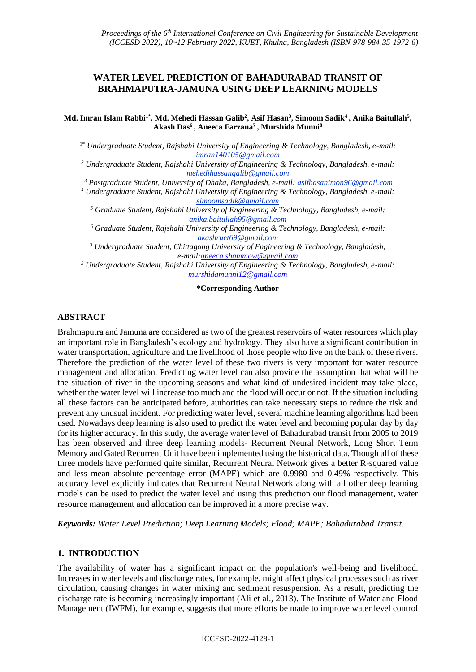# **WATER LEVEL PREDICTION OF BAHADURABAD TRANSIT OF BRAHMAPUTRA-JAMUNA USING DEEP LEARNING MODELS**

**Md. Imran Islam Rabbi1\*, Md. Mehedi Hassan Galib<sup>2</sup> , Asif Hasan<sup>3</sup> , Simoom Sadik<sup>4</sup>, Anika Baitullah<sup>5</sup> , Akash Das<sup>6</sup>, Aneeca Farzana<sup>7</sup>, Murshida Munni<sup>8</sup>**

1\* *Undergraduate Student, Rajshahi University of Engineering & Technology, Bangladesh, e-mail: imran140105@gmail.com*

*<sup>2</sup> Undergraduate Student, Rajshahi University of Engineering & Technology, Bangladesh, e-mail: mehedihassangalib@gmail.com*

*<sup>3</sup> Postgraduate Student, University of Dhaka, Bangladesh, e-mail: asifhasanimon96@gmail.com*

*<sup>4</sup> Undergraduate Student, Rajshahi University of Engineering & Technology, Bangladesh, e-mail: simoomsadik@gmail.com*

*<sup>5</sup> Graduate Student, Rajshahi University of Engineering & Technology, Bangladesh, e-mail: anika.baitullah95@gmail.com*

*<sup>6</sup> Graduate Student, Rajshahi University of Engineering & Technology, Bangladesh, e-mail: akashruet69@gmail.com*

*<sup>3</sup> Undergraduate Student, Chittagong University of Engineering & Technology, Bangladesh, e-mail[:aneeca.shammow@gmail.com](mailto:aneeca.shammow@gmail.com)*

*<sup>3</sup> Undergraduate Student, Rajshahi University of Engineering & Technology, Bangladesh, e-mail: [murshidamunni12@gmail.com](mailto:murshidamunni12@gmail.com)*

#### **\*Corresponding Author**

## **ABSTRACT**

Brahmaputra and Jamuna are considered as two of the greatest reservoirs of water resources which play an important role in Bangladesh's ecology and hydrology. They also have a significant contribution in water transportation, agriculture and the livelihood of those people who live on the bank of these rivers. Therefore the prediction of the water level of these two rivers is very important for water resource management and allocation. Predicting water level can also provide the assumption that what will be the situation of river in the upcoming seasons and what kind of undesired incident may take place, whether the water level will increase too much and the flood will occur or not. If the situation including all these factors can be anticipated before, authorities can take necessary steps to reduce the risk and prevent any unusual incident. For predicting water level, several machine learning algorithms had been used. Nowadays deep learning is also used to predict the water level and becoming popular day by day for its higher accuracy. In this study, the average water level of Bahadurabad transit from 2005 to 2019 has been observed and three deep learning models- Recurrent Neural Network, Long Short Term Memory and Gated Recurrent Unit have been implemented using the historical data. Though all of these three models have performed quite similar, Recurrent Neural Network gives a better R-squared value and less mean absolute percentage error (MAPE) which are 0.9980 and 0.49% respectively. This accuracy level explicitly indicates that Recurrent Neural Network along with all other deep learning models can be used to predict the water level and using this prediction our flood management, water resource management and allocation can be improved in a more precise way.

*Keywords: Water Level Prediction; Deep Learning Models; Flood; MAPE; Bahadurabad Transit.*

### **1. INTRODUCTION**

The availability of water has a significant impact on the population's well-being and livelihood. Increases in water levels and discharge rates, for example, might affect physical processes such as river circulation, causing changes in water mixing and sediment resuspension. As a result, predicting the discharge rate is becoming increasingly important (Ali et al., 2013). The Institute of Water and Flood Management (IWFM), for example, suggests that more efforts be made to improve water level control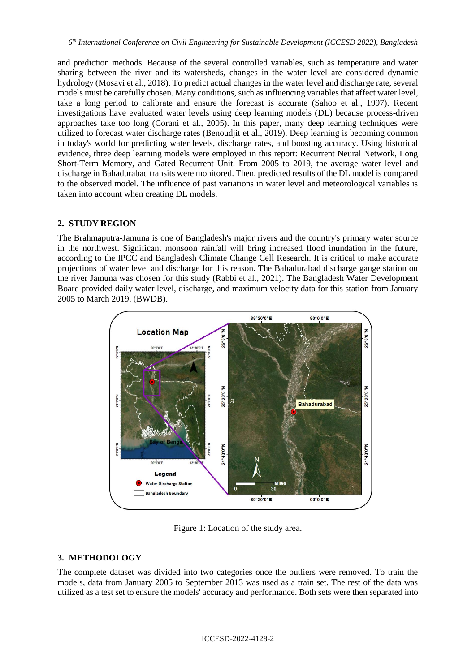and prediction methods. Because of the several controlled variables, such as temperature and water sharing between the river and its watersheds, changes in the water level are considered dynamic hydrology (Mosavi et al., 2018). To predict actual changes in the water level and discharge rate, several models must be carefully chosen. Many conditions, such as influencing variables that affect water level, take a long period to calibrate and ensure the forecast is accurate (Sahoo et al., 1997). Recent investigations have evaluated water levels using deep learning models (DL) because process-driven approaches take too long (Corani et al., 2005). In this paper, many deep learning techniques were utilized to forecast water discharge rates (Benoudjit et al., 2019). Deep learning is becoming common in today's world for predicting water levels, discharge rates, and boosting accuracy. Using historical evidence, three deep learning models were employed in this report: Recurrent Neural Network, Long Short-Term Memory, and Gated Recurrent Unit. From 2005 to 2019, the average water level and discharge in Bahadurabad transits were monitored. Then, predicted results of the DL model is compared to the observed model. The influence of past variations in water level and meteorological variables is taken into account when creating DL models.

### **2. STUDY REGION**

The Brahmaputra-Jamuna is one of Bangladesh's major rivers and the country's primary water source in the northwest. Significant monsoon rainfall will bring increased flood inundation in the future, according to the IPCC and Bangladesh Climate Change Cell Research. It is critical to make accurate projections of water level and discharge for this reason. The Bahadurabad discharge gauge station on the river Jamuna was chosen for this study (Rabbi et al., 2021). The Bangladesh Water Development Board provided daily water level, discharge, and maximum velocity data for this station from January 2005 to March 2019. (BWDB).



Figure 1: Location of the study area.

# **3. METHODOLOGY**

The complete dataset was divided into two categories once the outliers were removed. To train the models, data from January 2005 to September 2013 was used as a train set. The rest of the data was utilized as a test set to ensure the models' accuracy and performance. Both sets were then separated into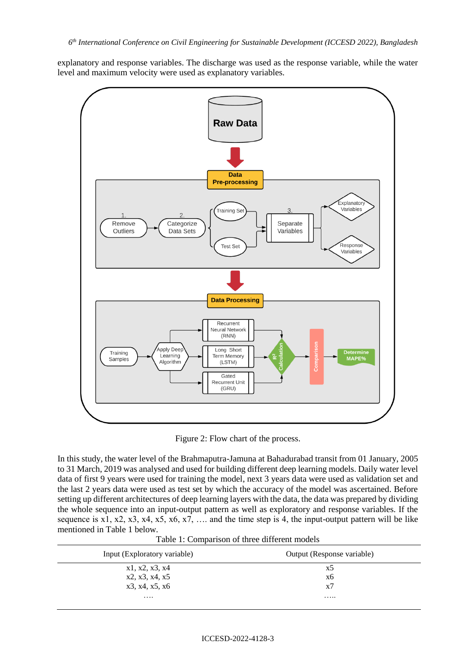explanatory and response variables. The discharge was used as the response variable, while the water level and maximum velocity were used as explanatory variables.



Figure 2: Flow chart of the process.

In this study, the water level of the Brahmaputra-Jamuna at Bahadurabad transit from 01 January, 2005 to 31 March, 2019 was analysed and used for building different deep learning models. Daily water level data of first 9 years were used for training the model, next 3 years data were used as validation set and the last 2 years data were used as test set by which the accuracy of the model was ascertained. Before setting up different architectures of deep learning layers with the data, the data was prepared by dividing the whole sequence into an input-output pattern as well as exploratory and response variables. If the sequence is x1, x2, x3, x4, x5, x6, x7, ... and the time step is 4, the input-output pattern will be like mentioned in Table 1 below.

| Input (Exploratory variable) | Output (Response variable) |
|------------------------------|----------------------------|
| x1, x2, x3, x4               | x5                         |
| x2, x3, x4, x5               | x6                         |
| x3, x4, x5, x6               | x7                         |
| $\cdots$                     |                            |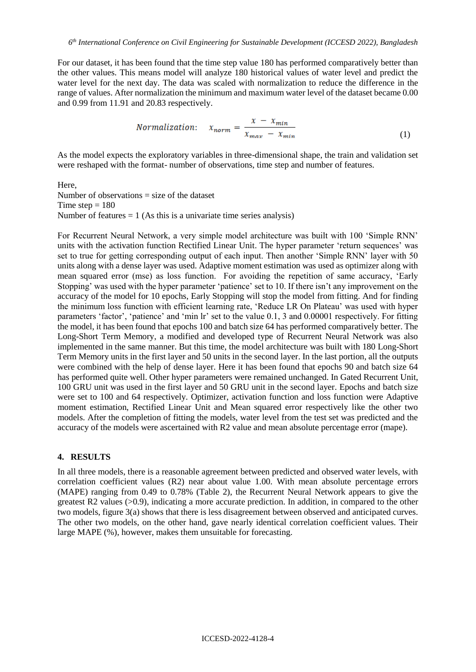For our dataset, it has been found that the time step value 180 has performed comparatively better than the other values. This means model will analyze 180 historical values of water level and predict the water level for the next day. The data was scaled with normalization to reduce the difference in the range of values. After normalization the minimum and maximum water level of the dataset became 0.00 and 0.99 from 11.91 and 20.83 respectively.

$$
Normalization: \quad x_{norm} = \frac{x - x_{min}}{x_{max} - x_{min}} \tag{1}
$$

As the model expects the exploratory variables in three-dimensional shape, the train and validation set were reshaped with the format- number of observations, time step and number of features.

Here, Number of observations  $=$  size of the dataset Time step  $= 180$ Number of features  $= 1$  (As this is a univariate time series analysis)

For Recurrent Neural Network, a very simple model architecture was built with 100 'Simple RNN' units with the activation function Rectified Linear Unit. The hyper parameter 'return sequences' was set to true for getting corresponding output of each input. Then another 'Simple RNN' layer with 50 units along with a dense layer was used. Adaptive moment estimation was used as optimizer along with mean squared error (mse) as loss function. For avoiding the repetition of same accuracy, 'Early Stopping' was used with the hyper parameter 'patience' set to 10. If there isn't any improvement on the accuracy of the model for 10 epochs, Early Stopping will stop the model from fitting. And for finding the minimum loss function with efficient learning rate, 'Reduce LR On Plateau' was used with hyper parameters 'factor', 'patience' and 'min lr' set to the value 0.1, 3 and 0.00001 respectively. For fitting the model, it has been found that epochs 100 and batch size 64 has performed comparatively better. The Long-Short Term Memory, a modified and developed type of Recurrent Neural Network was also implemented in the same manner. But this time, the model architecture was built with 180 Long-Short Term Memory units in the first layer and 50 units in the second layer. In the last portion, all the outputs were combined with the help of dense layer. Here it has been found that epochs 90 and batch size 64 has performed quite well. Other hyper parameters were remained unchanged. In Gated Recurrent Unit, 100 GRU unit was used in the first layer and 50 GRU unit in the second layer. Epochs and batch size were set to 100 and 64 respectively. Optimizer, activation function and loss function were Adaptive moment estimation, Rectified Linear Unit and Mean squared error respectively like the other two models. After the completion of fitting the models, water level from the test set was predicted and the accuracy of the models were ascertained with R2 value and mean absolute percentage error (mape).

#### **4. RESULTS**

In all three models, there is a reasonable agreement between predicted and observed water levels, with correlation coefficient values (R2) near about value 1.00. With mean absolute percentage errors (MAPE) ranging from 0.49 to 0.78% (Table 2), the Recurrent Neural Network appears to give the greatest R2 values (>0.9), indicating a more accurate prediction. In addition, in compared to the other two models, figure 3(a) shows that there is less disagreement between observed and anticipated curves. The other two models, on the other hand, gave nearly identical correlation coefficient values. Their large MAPE (%), however, makes them unsuitable for forecasting.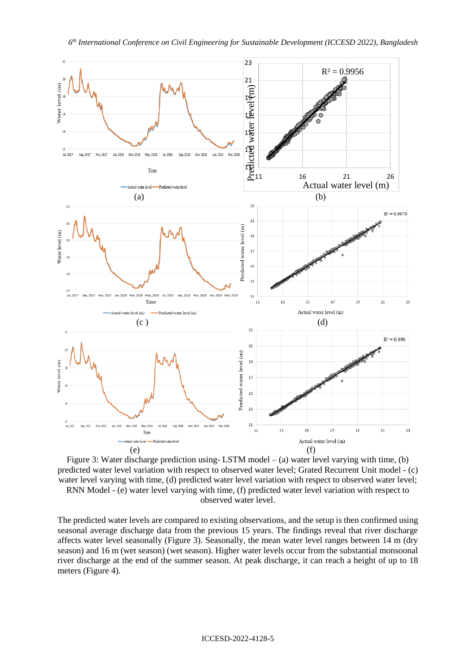

Figure 3: Water discharge prediction using-LSTM model  $-$  (a) water level varying with time, (b) predicted water level variation with respect to observed water level; Grated Recurrent Unit model - (c) water level varying with time, (d) predicted water level variation with respect to observed water level; RNN Model - (e) water level varying with time, (f) predicted water level variation with respect to observed water level.

The predicted water levels are compared to existing observations, and the setup is then confirmed using seasonal average discharge data from the previous 15 years. The findings reveal that river discharge affects water level seasonally (Figure 3). Seasonally, the mean water level ranges between 14 m (dry season) and 16 m (wet season) (wet season). Higher water levels occur from the substantial monsoonal river discharge at the end of the summer season. At peak discharge, it can reach a height of up to 18 meters (Figure 4).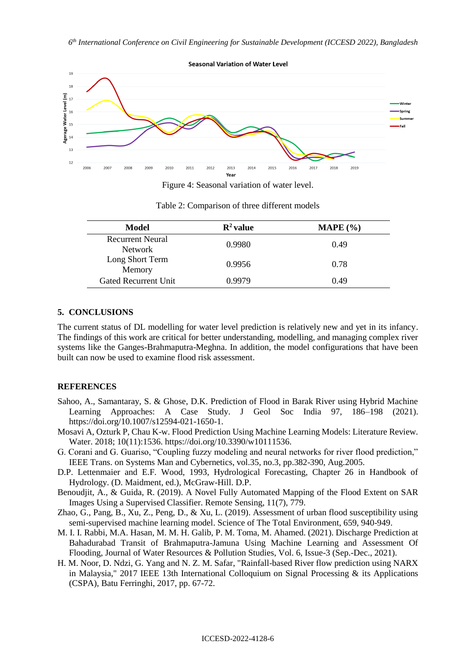

Figure 4: Seasonal variation of water level.

| Model                     | $\mathbf{R}^2$ value | MAPE $(\% )$ |
|---------------------------|----------------------|--------------|
| <b>Recurrent Neural</b>   | 0.9980               | 0.49         |
| <b>Network</b>            |                      |              |
| Long Short Term<br>Memory | 0.9956               | 0.78         |
| Gated Recurrent Unit      | 0.9979               | 0.49         |

Table 2: Comparison of three different models

### **5. CONCLUSIONS**

The current status of DL modelling for water level prediction is relatively new and yet in its infancy. The findings of this work are critical for better understanding, modelling, and managing complex river systems like the Ganges-Brahmaputra-Meghna. In addition, the model configurations that have been built can now be used to examine flood risk assessment.

#### **REFERENCES**

- Sahoo, A., Samantaray, S. & Ghose, D.K. Prediction of Flood in Barak River using Hybrid Machine Learning Approaches: A Case Study. J Geol Soc India 97, 186–198 (2021). https://doi.org/10.1007/s12594-021-1650-1.
- Mosavi A, Ozturk P, Chau K-w. Flood Prediction Using Machine Learning Models: Literature Review. Water. 2018; 10(11):1536. https://doi.org/10.3390/w10111536.
- G. Corani and G. Guariso, "Coupling fuzzy modeling and neural networks for river flood prediction," IEEE Trans. on Systems Man and Cybernetics, vol.35, no.3, pp.382-390, Aug.2005.
- D.P. Lettenmaier and E.F. Wood, 1993, Hydrological Forecasting, Chapter 26 in Handbook of Hydrology. (D. Maidment, ed.), McGraw-Hill. D.P.
- Benoudjit, A., & Guida, R. (2019). A Novel Fully Automated Mapping of the Flood Extent on SAR Images Using a Supervised Classifier. Remote Sensing, 11(7), 779.
- Zhao, G., Pang, B., Xu, Z., Peng, D., & Xu, L. (2019). Assessment of urban flood susceptibility using semi-supervised machine learning model. Science of The Total Environment, 659, 940-949.
- M. I. I. Rabbi, M.A. Hasan, M. M. H. Galib, P. M. Toma, M. Ahamed. (2021). Discharge Prediction at Bahadurabad Transit of Brahmaputra-Jamuna Using Machine Learning and Assessment Of Flooding, Journal of Water Resources & Pollution Studies, Vol. 6, Issue-3 (Sep.-Dec., 2021).
- H. M. Noor, D. Ndzi, G. Yang and N. Z. M. Safar, "Rainfall-based River flow prediction using NARX in Malaysia," 2017 IEEE 13th International Colloquium on Signal Processing & its Applications (CSPA), Batu Ferringhi, 2017, pp. 67-72.